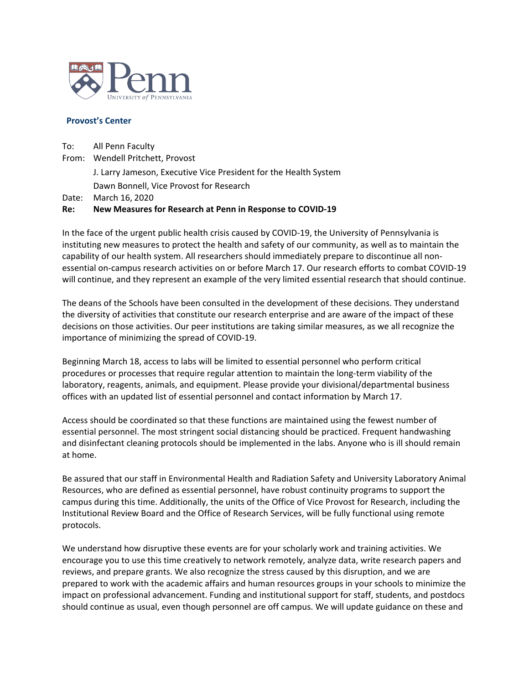

## **Provost's Center**

To: All Penn Faculty From: Wendell Pritchett, Provost J. Larry Jameson, Executive Vice President for the Health System Dawn Bonnell, Vice Provost for Research Date: March 16, 2020

## **Re: New Measures for Research at Penn in Response to COVID-19**

In the face of the urgent public health crisis caused by COVID-19, the University of Pennsylvania is instituting new measures to protect the health and safety of our community, as well as to maintain the capability of our health system. All researchers should immediately prepare to discontinue all nonessential on-campus research activities on or before March 17. Our research efforts to combat COVID-19 will continue, and they represent an example of the very limited essential research that should continue.

The deans of the Schools have been consulted in the development of these decisions. They understand the diversity of activities that constitute our research enterprise and are aware of the impact of these decisions on those activities. Our peer institutions are taking similar measures, as we all recognize the importance of minimizing the spread of COVID-19.

Beginning March 18, access to labs will be limited to essential personnel who perform critical procedures or processes that require regular attention to maintain the long-term viability of the laboratory, reagents, animals, and equipment. Please provide your divisional/departmental business offices with an updated list of essential personnel and contact information by March 17.

Access should be coordinated so that these functions are maintained using the fewest number of essential personnel. The most stringent social distancing should be practiced. Frequent handwashing and disinfectant cleaning protocols should be implemented in the labs. Anyone who is ill should remain at home.

Be assured that our staff in Environmental Health and Radiation Safety and University Laboratory Animal Resources, who are defined as essential personnel, have robust continuity programs to support the campus during this time. Additionally, the units of the Office of Vice Provost for Research, including the Institutional Review Board and the Office of Research Services, will be fully functional using remote protocols.

We understand how disruptive these events are for your scholarly work and training activities. We encourage you to use this time creatively to network remotely, analyze data, write research papers and reviews, and prepare grants. We also recognize the stress caused by this disruption, and we are prepared to work with the academic affairs and human resources groups in your schools to minimize the impact on professional advancement. Funding and institutional support for staff, students, and postdocs should continue as usual, even though personnel are off campus. We will update guidance on these and